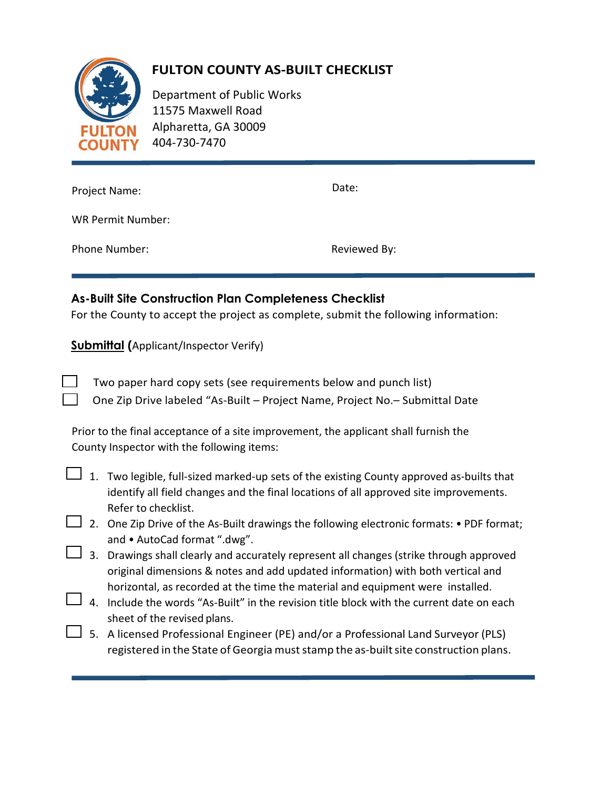

## **FULTON COUNTY AS-BUILT CHECKLIST**

Department of Public Works 11575 Maxwell Road Alpharetta, GA 30009 404-730-7470

| Project Name:            | Date:        |
|--------------------------|--------------|
| <b>WR Permit Number:</b> |              |
| Phone Number:            | Reviewed By: |

## **As-Built Site Construction Plan Completeness Checklist**

For the County to accept the project as complete, submit the following information:

**Submittal (**Applicant/Inspector Verify)

Two paper hard copy sets (see requirements below and punch list) One Zip Drive labeled "As-Built – Project Name, Project No.– Submittal Date

Prior to the final acceptance of a site improvement, the applicant shall furnish the County Inspector with the following items:

1. Two legible, full-sized marked-up sets of the existing County approved as-builts that identify all field changes and the final locations of all approved site improvements. Refer to checklist.

- $\perp$  2. One Zip Drive of the As-Built drawings the following electronic formats: PDF format; and • AutoCad format ".dwg".
- $\Box$  3. Drawings shall clearly and accurately represent all changes (strike through approved original dimensions & notes and add updated information) with both vertical and horizontal, as recorded at the time the material and equipment were installed.
- $\perp$  4. Include the words "As-Built" in the revision title block with the current date on each sheet of the revised plans.
- 5. A licensed Professional Engineer (PE) and/or a Professional Land Surveyor (PLS) registered in the State of Georgia muststamp the as-builtsite construction plans.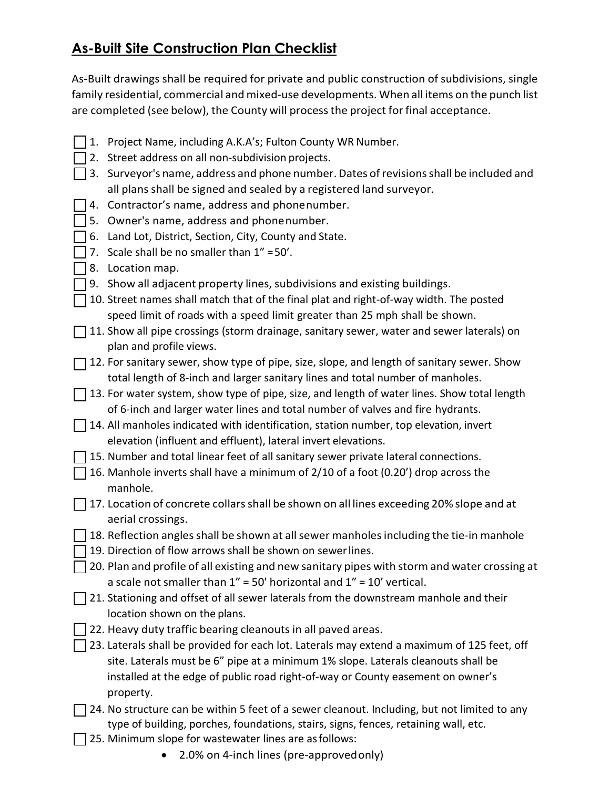## **As-Built Site Construction Plan Checklist**

As-Built drawings shall be required for private and public construction of subdivisions, single family residential, commercial and mixed-use developments. When all items on the punch list are completed (see below), the County will processthe project forfinal acceptance.

- 1. Project Name, including A.K.A's; Fulton County WR Number.
- $\Box$  2. Street address on all non-subdivision projects.
- $\Box$  3. Surveyor's name, address and phone number. Dates of revisions shall be included and all plans shall be signed and sealed by a registered land surveyor.
- 4. Contractor's name, address and phonenumber.
- 5. Owner's name, address and phonenumber.
- $\Box$  6. Land Lot, District, Section, City, County and State.
- $\Box$  7. Scale shall be no smaller than 1" = 50'.
- 8. Location map.
- $\Box$  9. Show all adjacent property lines, subdivisions and existing buildings.
- 10. Street names shall match that of the final plat and right-of-way width. The posted speed limit of roads with a speed limit greater than 25 mph shall be shown.
- $\Box$  11. Show all pipe crossings (storm drainage, sanitary sewer, water and sewer laterals) on plan and profile views.
- $\Box$  12. For sanitary sewer, show type of pipe, size, slope, and length of sanitary sewer. Show total length of 8-inch and larger sanitary lines and total number of manholes.
- $\Box$  13. For water system, show type of pipe, size, and length of water lines. Show total length of 6-inch and larger water lines and total number of valves and fire hydrants.
- 14. All manholes indicated with identification, station number, top elevation, invert elevation (influent and effluent), lateral invert elevations.
- $\Box$  15. Number and total linear feet of all sanitary sewer private lateral connections.
- $\Box$  16. Manhole inverts shall have a minimum of 2/10 of a foot (0.20') drop across the manhole.
- $\Box$  17. Location of concrete collars shall be shown on all lines exceeding 20% slope and at aerial crossings.
- $\Box$  18. Reflection angles shall be shown at all sewer manholes including the tie-in manhole
- 19. Direction of flow arrows shall be shown on sewer lines.
- $\Box$  20. Plan and profile of all existing and new sanitary pipes with storm and water crossing at a scale not smaller than  $1'' = 50'$  horizontal and  $1'' = 10'$  vertical.
- $\Box$  21. Stationing and offset of all sewer laterals from the downstream manhole and their location shown on the plans.
- | 22. Heavy duty traffic bearing cleanouts in all paved areas.
- 23. Laterals shall be provided for each lot. Laterals may extend a maximum of 125 feet, off site. Laterals must be 6" pipe at a minimum 1% slope. Laterals cleanouts shall be installed at the edge of public road right-of-way or County easement on owner's property.
- $\Box$  24. No structure can be within 5 feet of a sewer cleanout. Including, but not limited to any type of building, porches, foundations, stairs, signs, fences, retaining wall, etc.
- $\Box$  25. Minimum slope for wastewater lines are as follows:
	- 2.0% on 4-inch lines (pre-approvedonly)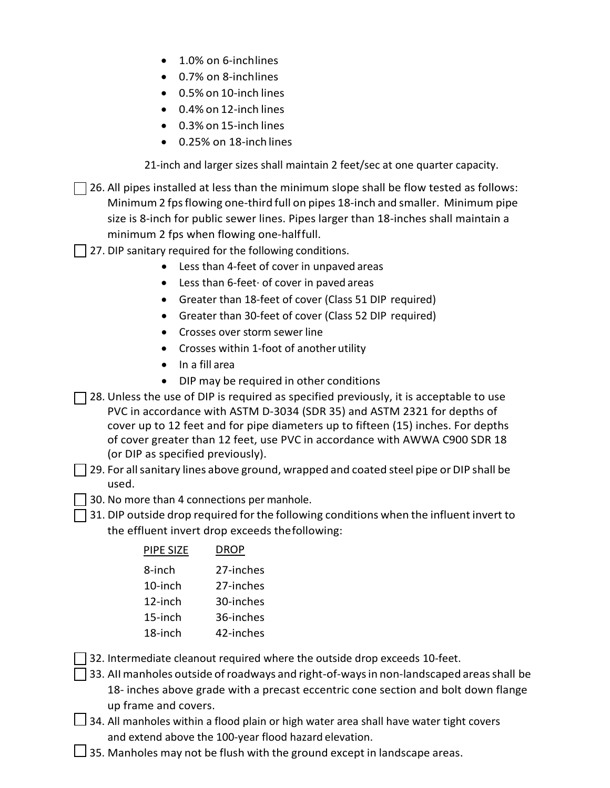- 1.0% on 6-inchlines
- 0.7% on 8-inchlines
- 0.5% on 10-inch lines
- 0.4% on 12-inch lines
- 0.3% on 15-inch lines
- 0.25% on 18-inch lines

21-inch and larger sizes shall maintain 2 feet/sec at one quarter capacity.

- $\Box$  26. All pipes installed at less than the minimum slope shall be flow tested as follows: Minimum 2 fpsflowing one-third full on pipes 18-inch and smaller. Minimum pipe size is 8-inch for public sewer lines. Pipes larger than 18-inches shall maintain a minimum 2 fps when flowing one-halffull.
- | 27. DIP sanitary required for the following conditions.
	- Less than 4-feet of cover in unpaved areas
	- Less than 6-feet· of cover in paved areas
	- Greater than 18-feet of cover (Class 51 DIP required)
	- Greater than 30-feet of cover (Class 52 DIP required)
	- Crosses over storm sewer line
	- Crosses within 1-foot of another utility
	- In a fill area
	- DIP may be required in other conditions
- $\Box$  28. Unless the use of DIP is required as specified previously, it is acceptable to use PVC in accordance with ASTM D-3034 (SDR 35) and ASTM 2321 for depths of cover up to 12 feet and for pipe diameters up to fifteen (15) inches. For depths of cover greater than 12 feet, use PVC in accordance with AWWA C900 SDR 18 (or DIP as specified previously).
- $\Box$  29. For all sanitary lines above ground, wrapped and coated steel pipe or DIP shall be used.
- **1** 30. No more than 4 connections per manhole.
- $\Box$  31. DIP outside drop required for the following conditions when the influent invert to the effluent invert drop exceeds thefollowing:

| PIPE SIZE | DROP      |
|-----------|-----------|
| 8-inch    | 27-inches |
| 10-inch   | 27-inches |
| 12-inch   | 30-inches |
| 15-inch   | 36-inches |
| 18-inch   | 42-inches |
|           |           |

- $\Box$  32. Intermediate cleanout required where the outside drop exceeds 10-feet.
- $\Box$  33. All manholes outside of roadways and right-of-ways in non-landscaped areas shall be 18- inches above grade with a precast eccentric cone section and bolt down flange up frame and covers.
- $\Box$  34. All manholes within a flood plain or high water area shall have water tight covers and extend above the 100-year flood hazard elevation.
- $\Box$  35. Manholes may not be flush with the ground except in landscape areas.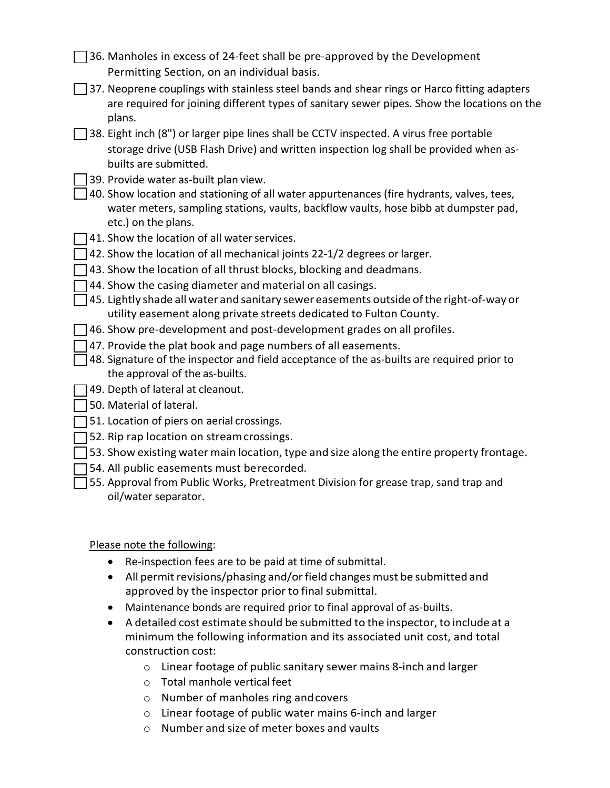| $\Box$ 36. Manholes in excess of 24-feet shall be pre-approved by the Development |  |
|-----------------------------------------------------------------------------------|--|
| Permitting Section, on an individual basis.                                       |  |

- $\Box$  37. Neoprene couplings with stainless steel bands and shear rings or Harco fitting adapters are required for joining different types of sanitary sewer pipes. Show the locations on the plans.
- $\Box$  38. Eight inch (8") or larger pipe lines shall be CCTV inspected. A virus free portable storage drive (USB Flash Drive) and written inspection log shall be provided when asbuilts are submitted.
	- 39. Provide water as-built plan view.
- $\Box$  40. Show location and stationing of all water appurtenances (fire hydrants, valves, tees, water meters, sampling stations, vaults, backflow vaults, hose bibb at dumpster pad, etc.) on the plans.
- $\Box$  41. Show the location of all water services.
- $\Box$  42. Show the location of all mechanical joints 22-1/2 degrees or larger.
- $\Box$  43. Show the location of all thrust blocks, blocking and deadmans.
- $\Box$  44. Show the casing diameter and material on all casings.
- $\Box$  45. Lightly shade all water and sanitary sewer easements outside of the right-of-way or utility easement along private streets dedicated to Fulton County.
- $\Box$  46. Show pre-development and post-development grades on all profiles.
- $\Box$  47. Provide the plat book and page numbers of all easements.
- $\Box$  48. Signature of the inspector and field acceptance of the as-builts are required prior to the approval of the as-builts.
- 49. Depth of lateral at cleanout.
- $\Box$  50. Material of lateral.
- $\Box$  51. Location of piers on aerial crossings.
- $\Box$  52. Rip rap location on stream crossings.
- $\Box$  53. Show existing water main location, type and size along the entire property frontage.
- $\Box$  54. All public easements must berecorded.
- $\Box$  55. Approval from Public Works, Pretreatment Division for grease trap, sand trap and oil/water separator.

Please note the following:

- Re-inspection fees are to be paid at time of submittal.
- All permit revisions/phasing and/or field changes must be submitted and approved by the inspector prior to final submittal.
- Maintenance bonds are required prior to final approval of as-builts.
- A detailed cost estimate should be submitted to the inspector, to include at a minimum the following information and its associated unit cost, and total construction cost:
	- o Linear footage of public sanitary sewer mains 8-inch and larger
	- o Total manhole vertical feet
	- o Number of manholes ring andcovers
	- o Linear footage of public water mains 6-inch and larger
	- o Number and size of meter boxes and vaults